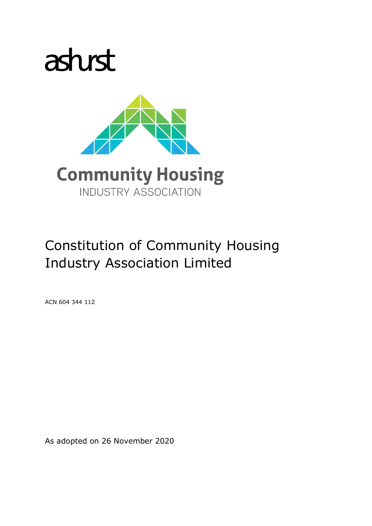



# Constitution of Community Housing Industry Association Limited

ACN 604 344 112

As adopted on 26 November 2020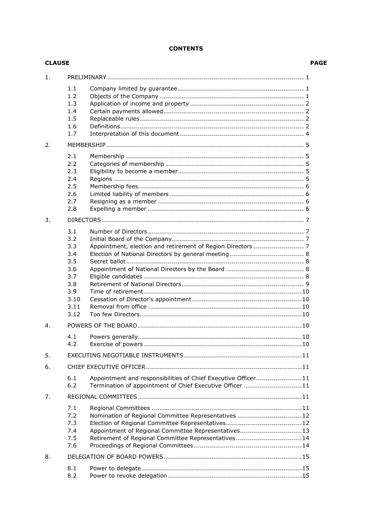| <b>CLAUSE</b> |                                                                                     |                                                                                                                                                                  | <b>PAGE</b> |  |  |
|---------------|-------------------------------------------------------------------------------------|------------------------------------------------------------------------------------------------------------------------------------------------------------------|-------------|--|--|
| 1.            |                                                                                     |                                                                                                                                                                  |             |  |  |
|               | 1.1<br>1.2<br>1.3<br>1.4<br>1.5<br>1.6<br>1.7                                       |                                                                                                                                                                  |             |  |  |
| 2.            |                                                                                     |                                                                                                                                                                  |             |  |  |
|               | 2.1<br>2.2<br>2.3<br>2.4<br>2.5<br>2.6<br>2.7<br>2.8                                |                                                                                                                                                                  |             |  |  |
| 3.            |                                                                                     |                                                                                                                                                                  |             |  |  |
|               | 3.1<br>3.2<br>3.3<br>3.4<br>3.5<br>3.6<br>3.7<br>3.8<br>3.9<br>3.10<br>3.11<br>3.12 |                                                                                                                                                                  |             |  |  |
| 4.            | 4.1                                                                                 |                                                                                                                                                                  |             |  |  |
|               | 4.2                                                                                 |                                                                                                                                                                  |             |  |  |
| 5.<br>6.      |                                                                                     |                                                                                                                                                                  |             |  |  |
|               | 6.1<br>6.2                                                                          | Appointment and responsibilities of Chief Executive Officer11<br>Termination of appointment of Chief Executive Officer 11                                        |             |  |  |
| 7.            |                                                                                     |                                                                                                                                                                  |             |  |  |
|               | 7.1<br>7.2<br>7.3<br>7.4<br>7.5<br>7.6                                              | Nomination of Regional Committee Representatives 12<br>Appointment of Regional Committee Representatives13<br>Retirement of Regional Committee Representatives14 |             |  |  |
| 8.            |                                                                                     |                                                                                                                                                                  |             |  |  |
|               | 8.1<br>8.2                                                                          |                                                                                                                                                                  |             |  |  |

# **CONTENTS**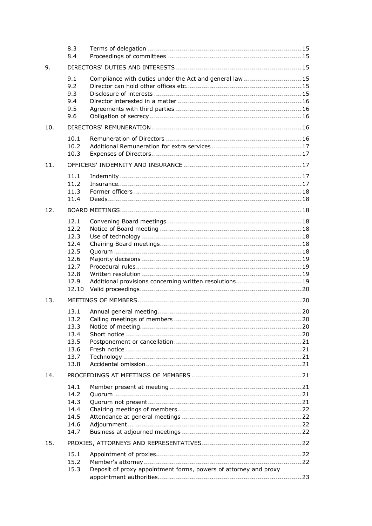|     | 8.3<br>8.4                                           |                                                                  |  |
|-----|------------------------------------------------------|------------------------------------------------------------------|--|
| 9.  |                                                      |                                                                  |  |
|     | 9.1<br>9.2<br>9.3<br>9.4<br>9.5<br>9.6               | Compliance with duties under the Act and general law 15          |  |
| 10. |                                                      |                                                                  |  |
|     | 10.1<br>10.2<br>10.3                                 |                                                                  |  |
| 11. |                                                      |                                                                  |  |
|     | 11.1<br>11.2<br>11.3<br>11.4                         |                                                                  |  |
| 12. |                                                      |                                                                  |  |
|     | 12.1<br>12.2<br>12.3<br>12.4                         |                                                                  |  |
|     | 12.5<br>12.6<br>12.7                                 |                                                                  |  |
|     | 12.8<br>12.9<br>12.10                                | Additional provisions concerning written resolutions19           |  |
| 13. |                                                      |                                                                  |  |
|     | 13.1<br>13.2<br>13.3<br>13.4                         |                                                                  |  |
|     | 13.5<br>13.6<br>13.7<br>13.8                         |                                                                  |  |
| 14. |                                                      |                                                                  |  |
|     | 14.1<br>14.2<br>14.3<br>14.4<br>14.5<br>14.6<br>14.7 |                                                                  |  |
| 15. |                                                      |                                                                  |  |
|     | 15.1<br>15.2<br>15.3                                 | Deposit of proxy appointment forms, powers of attorney and proxy |  |
|     |                                                      |                                                                  |  |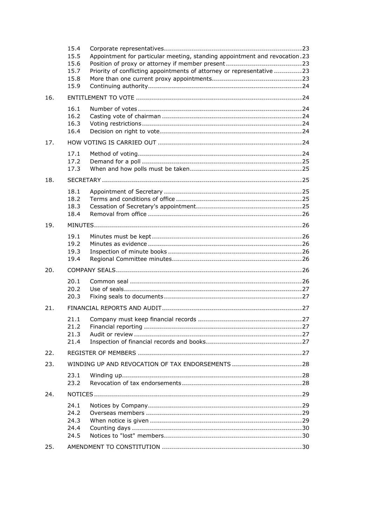|     | 15.4<br>15.5<br>15.6<br>15.7<br>15.8<br>15.9 | Appointment for particular meeting, standing appointment and revocation.23<br>Priority of conflicting appointments of attorney or representative 23 |  |  |  |
|-----|----------------------------------------------|-----------------------------------------------------------------------------------------------------------------------------------------------------|--|--|--|
| 16. |                                              |                                                                                                                                                     |  |  |  |
|     | 16.1<br>16.2<br>16.3<br>16.4                 |                                                                                                                                                     |  |  |  |
| 17. |                                              |                                                                                                                                                     |  |  |  |
|     | 17.1<br>17.2<br>17.3                         |                                                                                                                                                     |  |  |  |
| 18. |                                              |                                                                                                                                                     |  |  |  |
|     | 18.1<br>18.2<br>18.3<br>18.4                 |                                                                                                                                                     |  |  |  |
| 19. |                                              |                                                                                                                                                     |  |  |  |
|     | 19.1<br>19.2<br>19.3<br>19.4                 |                                                                                                                                                     |  |  |  |
| 20. |                                              |                                                                                                                                                     |  |  |  |
|     | 20.1<br>20.2<br>20.3                         |                                                                                                                                                     |  |  |  |
| 21. |                                              |                                                                                                                                                     |  |  |  |
|     | 21.1<br>21.2<br>21.3<br>21.4                 |                                                                                                                                                     |  |  |  |
| 22. |                                              |                                                                                                                                                     |  |  |  |
| 23. |                                              |                                                                                                                                                     |  |  |  |
|     | 23.1<br>23.2                                 |                                                                                                                                                     |  |  |  |
| 24. |                                              |                                                                                                                                                     |  |  |  |
|     | 24.1<br>24.2<br>24.3<br>24.4<br>24.5         |                                                                                                                                                     |  |  |  |
| 25. |                                              |                                                                                                                                                     |  |  |  |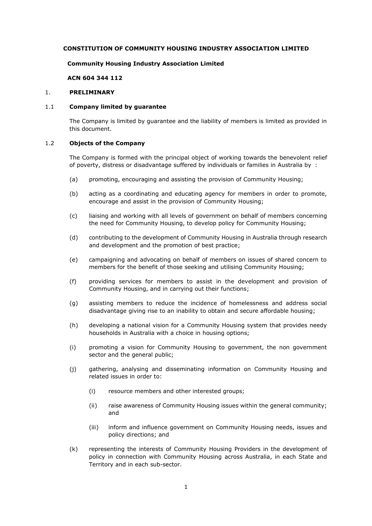## **CONSTITUTION OF COMMUNITY HOUSING INDUSTRY ASSOCIATION LIMITED**

## **Community Housing Industry Association Limited**

## **ACN 604 344 112**

## <span id="page-4-0"></span>1. **PRELIMINARY**

#### <span id="page-4-1"></span>1.1 **Company limited by guarantee**

The Company is limited by guarantee and the liability of members is limited as provided in this document.

#### <span id="page-4-2"></span>1.2 **Objects of the Company**

The Company is formed with the principal object of working towards the benevolent relief of poverty, distress or disadvantage suffered by individuals or families in Australia by :

- (a) promoting, encouraging and assisting the provision of Community Housing;
- (b) acting as a coordinating and educating agency for members in order to promote, encourage and assist in the provision of Community Housing;
- (c) liaising and working with all levels of government on behalf of members concerning the need for Community Housing, to develop policy for Community Housing;
- (d) contributing to the development of Community Housing in Australia through research and development and the promotion of best practice;
- (e) campaigning and advocating on behalf of members on issues of shared concern to members for the benefit of those seeking and utilising Community Housing;
- (f) providing services for members to assist in the development and provision of Community Housing, and in carrying out their functions;
- (g) assisting members to reduce the incidence of homelessness and address social disadvantage giving rise to an inability to obtain and secure affordable housing;
- (h) developing a national vision for a Community Housing system that provides needy households in Australia with a choice in housing options;
- (i) promoting a vision for Community Housing to government, the non government sector and the general public;
- (j) gathering, analysing and disseminating information on Community Housing and related issues in order to:
	- (i) resource members and other interested groups;
	- (ii) raise awareness of Community Housing issues within the general community; and
	- (iii) inform and influence government on Community Housing needs, issues and policy directions; and
- (k) representing the interests of Community Housing Providers in the development of policy in connection with Community Housing across Australia, in each State and Territory and in each sub-sector.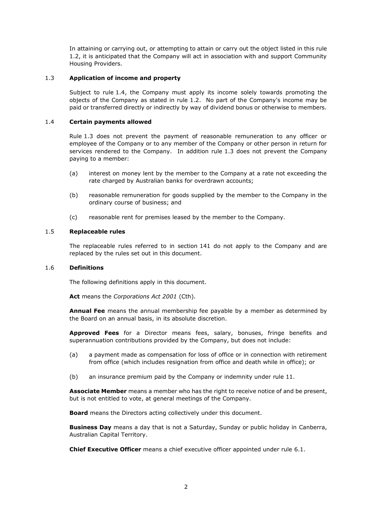In attaining or carrying out, or attempting to attain or carry out the object listed in this rule 1.2, it is anticipated that the Company will act in association with and support Community Housing Providers.

# <span id="page-5-0"></span>1.3 **Application of income and property**

Subject to rule [1.4,](#page-5-1) the Company must apply its income solely towards promoting the objects of the Company as stated in rule [1.2.](#page-4-2) No part of the Company's income may be paid or transferred directly or indirectly by way of dividend bonus or otherwise to members.

# <span id="page-5-1"></span>1.4 **Certain payments allowed**

Rule [1.3](#page-5-0) does not prevent the payment of reasonable remuneration to any officer or employee of the Company or to any member of the Company or other person in return for services rendered to the Company. In addition rule [1.3](#page-5-0) does not prevent the Company paying to a member:

- (a) interest on money lent by the member to the Company at a rate not exceeding the rate charged by Australian banks for overdrawn accounts;
- (b) reasonable remuneration for goods supplied by the member to the Company in the ordinary course of business; and
- (c) reasonable rent for premises leased by the member to the Company.

# <span id="page-5-2"></span>1.5 **Replaceable rules**

The replaceable rules referred to in section 141 do not apply to the Company and are replaced by the rules set out in this document.

# <span id="page-5-3"></span>1.6 **Definitions**

The following definitions apply in this document.

**Act** means the *Corporations Act 2001* (Cth).

**Annual Fee** means the annual membership fee payable by a member as determined by the Board on an annual basis, in its absolute discretion.

**Approved Fees** for a Director means fees, salary, bonuses, fringe benefits and superannuation contributions provided by the Company, but does not include:

- (a) a payment made as compensation for loss of office or in connection with retirement from office (which includes resignation from office and death while in office); or
- (b) an insurance premium paid by the Company or indemnity under rule [11.](#page-20-2)

**Associate Member** means a member who has the right to receive notice of and be present, but is not entitled to vote, at general meetings of the Company.

**Board** means the Directors acting collectively under this document.

**Business Day** means a day that is not a Saturday, Sunday or public holiday in Canberra, Australian Capital Territory.

**Chief Executive Officer** means a chief executive officer appointed under rule [6.1.](#page-14-2)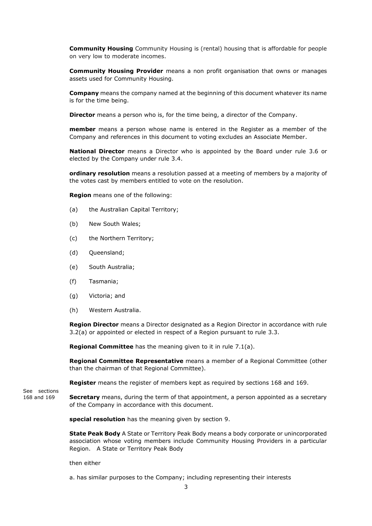**Community Housing** Community Housing is (rental) housing that is affordable for people on very low to moderate incomes.

**Community Housing Provider** means a non profit organisation that owns or manages assets used for Community Housing.

**Company** means the company named at the beginning of this document whatever its name is for the time being.

**Director** means a person who is, for the time being, a director of the Company.

**member** means a person whose name is entered in the Register as a member of the Company and references in this document to voting excludes an Associate Member.

**National Director** means a Director who is appointed by the Board under rule [3.6](#page-11-2) or elected by the Company under rule [3.4.](#page-11-0)

**ordinary resolution** means a resolution passed at a meeting of members by a majority of the votes cast by members entitled to vote on the resolution.

**Region** means one of the following:

- (a) the Australian Capital Territory;
- (b) New South Wales;
- (c) the Northern Territory;
- (d) Queensland;
- (e) South Australia;
- (f) Tasmania;
- (g) Victoria; and
- (h) Western Australia.

**Region Director** means a Director designated as a Region Director in accordance with rule [3.2\(a\)](#page-10-4) or appointed or elected in respect of a Region pursuant to rule [3.3.](#page-10-3)

**Regional Committee** has the meaning given to it in rule [7.1\(a\).](#page-14-6)

**Regional Committee Representative** means a member of a Regional Committee (other than the chairman of that Regional Committee).

**Register** means the register of members kept as required by sections 168 and 169.

See sections 168 and 169

**Secretary** means, during the term of that appointment, a person appointed as a secretary of the Company in accordance with this document.

**special resolution** has the meaning given by section 9.

**State Peak Body** A State or Territory Peak Body means a body corporate or unincorporated association whose voting members include Community Housing Providers in a particular Region. A State or Territory Peak Body

then either

a. has similar purposes to the Company; including representing their interests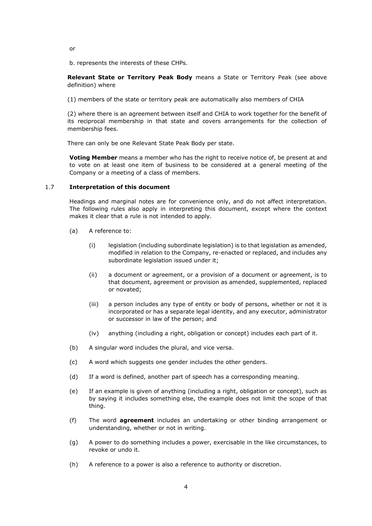or

b. represents the interests of these CHPs.

**Relevant State or Territory Peak Body** means a State or Territory Peak (see above definition) where

(1) members of the state or territory peak are automatically also members of CHIA

(2) where there is an agreement between itself and CHIA to work together for the benefit of its reciprocal membership in that state and covers arrangements for the collection of membership fees.

There can only be one Relevant State Peak Body per state.

**Voting Member** means a member who has the right to receive notice of, be present at and to vote on at least one item of business to be considered at a general meeting of the Company or a meeting of a class of members.

#### <span id="page-7-0"></span>1.7 **Interpretation of this document**

Headings and marginal notes are for convenience only, and do not affect interpretation. The following rules also apply in interpreting this document, except where the context makes it clear that a rule is not intended to apply.

- (a) A reference to:
	- (i) legislation (including subordinate legislation) is to that legislation as amended, modified in relation to the Company, re-enacted or replaced, and includes any subordinate legislation issued under it;
	- (ii) a document or agreement, or a provision of a document or agreement, is to that document, agreement or provision as amended, supplemented, replaced or novated;
	- (iii) a person includes any type of entity or body of persons, whether or not it is incorporated or has a separate legal identity, and any executor, administrator or successor in law of the person; and
	- (iv) anything (including a right, obligation or concept) includes each part of it.
- (b) A singular word includes the plural, and vice versa.
- (c) A word which suggests one gender includes the other genders.
- (d) If a word is defined, another part of speech has a corresponding meaning.
- (e) If an example is given of anything (including a right, obligation or concept), such as by saying it includes something else, the example does not limit the scope of that thing.
- (f) The word **agreement** includes an undertaking or other binding arrangement or understanding, whether or not in writing.
- (g) A power to do something includes a power, exercisable in the like circumstances, to revoke or undo it.
- (h) A reference to a power is also a reference to authority or discretion.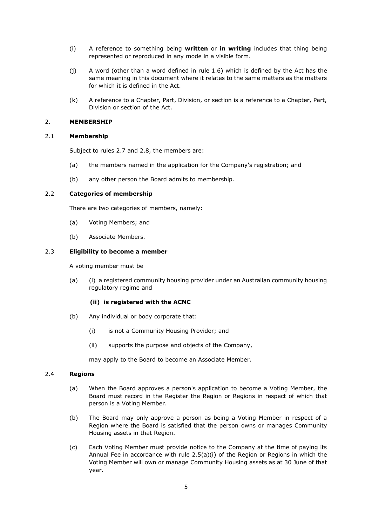- (i) A reference to something being **written** or **in writing** includes that thing being represented or reproduced in any mode in a visible form.
- (j) A word (other than a word defined in rule [1.6\)](#page-5-3) which is defined by the Act has the same meaning in this document where it relates to the same matters as the matters for which it is defined in the Act.
- (k) A reference to a Chapter, Part, Division, or section is a reference to a Chapter, Part, Division or section of the Act.

# <span id="page-8-0"></span>2. **MEMBERSHIP**

# <span id="page-8-1"></span>2.1 **Membership**

Subject to rules [2.7](#page-9-2) and [2.8,](#page-9-3) the members are:

- (a) the members named in the application for the Company's registration; and
- (b) any other person the Board admits to membership.

# <span id="page-8-2"></span>2.2 **Categories of membership**

There are two categories of members, namely:

- (a) Voting Members; and
- (b) Associate Members.

# <span id="page-8-3"></span>2.3 **Eligibility to become a member**

A voting member must be

(a) (i) a registered community housing provider under an Australian community housing regulatory regime and

# **(ii) is registered with the ACNC**

- (b) Any individual or body corporate that:
	- (i) is not a Community Housing Provider; and
	- (ii) supports the purpose and objects of the Company,

may apply to the Board to become an Associate Member.

# <span id="page-8-5"></span><span id="page-8-4"></span>2.4 **Regions**

- (a) When the Board approves a person's application to become a Voting Member, the Board must record in the Register the Region or Regions in respect of which that person is a Voting Member.
- (b) The Board may only approve a person as being a Voting Member in respect of a Region where the Board is satisfied that the person owns or manages Community Housing assets in that Region.
- (c) Each Voting Member must provide notice to the Company at the time of paying its Annual Fee in accordance with rule  $2.5(a)(i)$  of the Region or Regions in which the Voting Member will own or manage Community Housing assets as at 30 June of that year.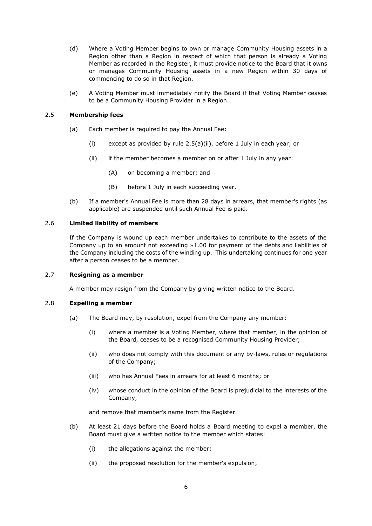- (d) Where a Voting Member begins to own or manage Community Housing assets in a Region other than a Region in respect of which that person is already a Voting Member as recorded in the Register, it must provide notice to the Board that it owns or manages Community Housing assets in a new Region within 30 days of commencing to do so in that Region.
- (e) A Voting Member must immediately notify the Board if that Voting Member ceases to be a Community Housing Provider in a Region.

# <span id="page-9-4"></span><span id="page-9-0"></span>2.5 **Membership fees**

- <span id="page-9-5"></span>(a) Each member is required to pay the Annual Fee:
	- (i) except as provided by rule  $2.5(a)(ii)$ , before 1 July in each year; or
	- (ii) if the member becomes a member on or after 1 July in any year:
		- (A) on becoming a member; and
		- (B) before 1 July in each succeeding year.
- (b) If a member's Annual Fee is more than 28 days in arrears, that member's rights (as applicable) are suspended until such Annual Fee is paid.

# <span id="page-9-1"></span>2.6 **Limited liability of members**

If the Company is wound up each member undertakes to contribute to the assets of the Company up to an amount not exceeding \$1.00 for payment of the debts and liabilities of the Company including the costs of the winding up. This undertaking continues for one year after a person ceases to be a member.

## <span id="page-9-2"></span>2.7 **Resigning as a member**

A member may resign from the Company by giving written notice to the Board.

#### <span id="page-9-3"></span>2.8 **Expelling a member**

- (a) The Board may, by resolution, expel from the Company any member:
	- (i) where a member is a Voting Member, where that member, in the opinion of the Board, ceases to be a recognised Community Housing Provider;
	- (ii) who does not comply with this document or any by-laws, rules or regulations of the Company;
	- (iii) who has Annual Fees in arrears for at least 6 months; or
	- (iv) whose conduct in the opinion of the Board is prejudicial to the interests of the Company,

and remove that member's name from the Register.

- (b) At least 21 days before the Board holds a Board meeting to expel a member, the Board must give a written notice to the member which states:
	- (i) the allegations against the member;
	- (ii) the proposed resolution for the member's expulsion;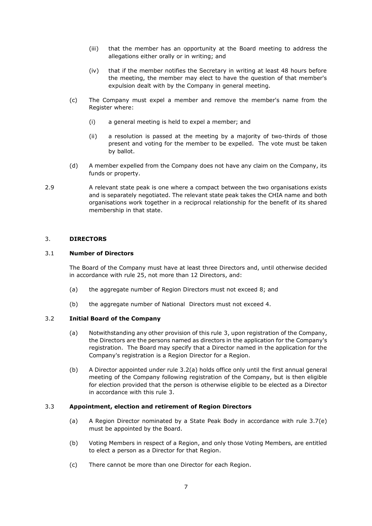- (iii) that the member has an opportunity at the Board meeting to address the allegations either orally or in writing; and
- (iv) that if the member notifies the Secretary in writing at least 48 hours before the meeting, the member may elect to have the question of that member's expulsion dealt with by the Company in general meeting.
- (c) The Company must expel a member and remove the member's name from the Register where:
	- (i) a general meeting is held to expel a member; and
	- (ii) a resolution is passed at the meeting by a majority of two-thirds of those present and voting for the member to be expelled. The vote must be taken by ballot.
- (d) A member expelled from the Company does not have any claim on the Company, its funds or property.
- 2.9 A relevant state peak is one where a compact between the two organisations exists and is separately negotiated. The relevant state peak takes the CHIA name and both organisations work together in a reciprocal relationship for the benefit of its shared membership in that state.

# <span id="page-10-0"></span>3. **DIRECTORS**

# <span id="page-10-1"></span>3.1 **Number of Directors**

The Board of the Company must have at least three Directors and, until otherwise decided in accordance with rule [25,](#page-33-2) not more than 12 Directors, and:

- (a) the aggregate number of Region Directors must not exceed 8; and
- (b) the aggregate number of National Directors must not exceed 4.

# <span id="page-10-4"></span><span id="page-10-2"></span>3.2 **Initial Board of the Company**

- (a) Notwithstanding any other provision of this rule [3,](#page-10-0) upon registration of the Company, the Directors are the persons named as directors in the application for the Company's registration. The Board may specify that a Director named in the application for the Company's registration is a Region Director for a Region.
- (b) A Director appointed under rule [3.2\(a\)](#page-10-4) holds office only until the first annual general meeting of the Company following registration of the Company, but is then eligible for election provided that the person is otherwise eligible to be elected as a Director in accordance with this rule [3.](#page-10-0)

# <span id="page-10-3"></span>3.3 **Appointment, election and retirement of Region Directors**

- (a) A Region Director nominated by a State Peak Body in accordance with rule [3.7\(e\)](#page-12-1) must be appointed by the Board.
- <span id="page-10-5"></span>(b) Voting Members in respect of a Region, and only those Voting Members, are entitled to elect a person as a Director for that Region.
- (c) There cannot be more than one Director for each Region.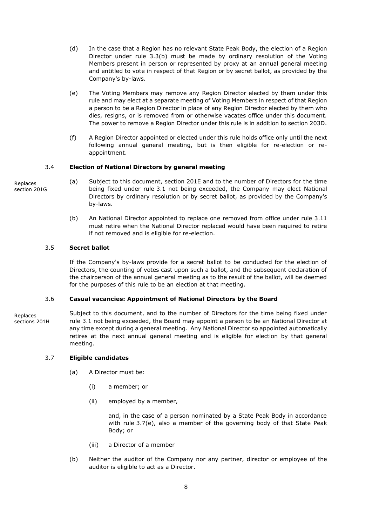- (d) In the case that a Region has no relevant State Peak Body, the election of a Region Director under rule [3.3\(b\)](#page-10-5) must be made by ordinary resolution of the Voting Members present in person or represented by proxy at an annual general meeting and entitled to vote in respect of that Region or by secret ballot, as provided by the Company's by-laws.
- (e) The Voting Members may remove any Region Director elected by them under this rule and may elect at a separate meeting of Voting Members in respect of that Region a person to be a Region Director in place of any Region Director elected by them who dies, resigns, or is removed from or otherwise vacates office under this document. The power to remove a Region Director under this rule is in addition to section 203D.
- (f) A Region Director appointed or elected under this rule holds office only until the next following annual general meeting, but is then eligible for re-election or reappointment.

# <span id="page-11-0"></span>3.4 **Election of National Directors by general meeting**

- Replaces section 201G
- (a) Subject to this document, section 201E and to the number of Directors for the time being fixed under rule [3.1](#page-10-1) not being exceeded, the Company may elect National Directors by ordinary resolution or by secret ballot, as provided by the Company's by-laws.
	- (b) An National Director appointed to replace one removed from office under rule [3.11](#page-13-2) must retire when the National Director replaced would have been required to retire if not removed and is eligible for re-election.

# <span id="page-11-1"></span>3.5 **Secret ballot**

If the Company's by-laws provide for a secret ballot to be conducted for the election of Directors, the counting of votes cast upon such a ballot, and the subsequent declaration of the chairperson of the annual general meeting as to the result of the ballot, will be deemed for the purposes of this rule to be an election at that meeting.

## <span id="page-11-2"></span>3.6 **Casual vacancies: Appointment of National Directors by the Board**

Subject to this document, and to the number of Directors for the time being fixed under rule [3.1](#page-10-1) not being exceeded, the Board may appoint a person to be an National Director at any time except during a general meeting. Any National Director so appointed automatically retires at the next annual general meeting and is eligible for election by that general meeting. Replaces sections 201H

## <span id="page-11-4"></span><span id="page-11-3"></span>3.7 **Eligible candidates**

- (a) A Director must be:
	- (i) a member; or
	- (ii) employed by a member,

and, in the case of a person nominated by a State Peak Body in accordance with rule [3.7\(e\),](#page-12-1) also a member of the governing body of that State Peak Body; or

- (iii) a Director of a member
- (b) Neither the auditor of the Company nor any partner, director or employee of the auditor is eligible to act as a Director.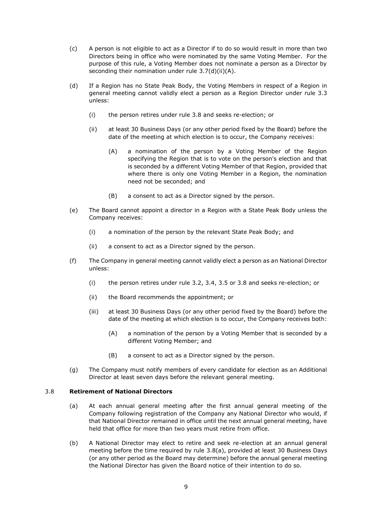- (c) A person is not eligible to act as a Director if to do so would result in more than two Directors being in office who were nominated by the same Voting Member. For the purpose of this rule, a Voting Member does not nominate a person as a Director by seconding their nomination under rule [3.7\(d\)\(ii\)\(A\).](#page-12-2)
- (d) If a Region has no State Peak Body, the Voting Members in respect of a Region in general meeting cannot validly elect a person as a Region Director under rule [3.3](#page-10-3) unless:
	- (i) the person retires under rule [3.8](#page-12-0) and seeks re-election; or
	- (ii) at least 30 Business Days (or any other period fixed by the Board) before the date of the meeting at which election is to occur, the Company receives:
		- (A) a nomination of the person by a Voting Member of the Region specifying the Region that is to vote on the person's election and that is seconded by a different Voting Member of that Region, provided that where there is only one Voting Member in a Region, the nomination need not be seconded; and
		- (B) a consent to act as a Director signed by the person.
- <span id="page-12-2"></span><span id="page-12-1"></span>(e) The Board cannot appoint a director in a Region with a State Peak Body unless the Company receives:
	- (i) a nomination of the person by the relevant State Peak Body; and
	- (ii) a consent to act as a Director signed by the person.
- (f) The Company in general meeting cannot validly elect a person as an National Director unless:
	- (i) the person retires under rule [3.2,](#page-10-2) [3.4,](#page-11-0) [3.5](#page-11-1) or [3.8](#page-12-0) and seeks re-election; or
	- (ii) the Board recommends the appointment; or
	- (iii) at least 30 Business Days (or any other period fixed by the Board) before the date of the meeting at which election is to occur, the Company receives both:
		- (A) a nomination of the person by a Voting Member that is seconded by a different Voting Member; and
		- (B) a consent to act as a Director signed by the person.
- (g) The Company must notify members of every candidate for election as an Additional Director at least seven days before the relevant general meeting.

# <span id="page-12-3"></span><span id="page-12-0"></span>3.8 **Retirement of National Directors**

- (a) At each annual general meeting after the first annual general meeting of the Company following registration of the Company any National Director who would, if that National Director remained in office until the next annual general meeting, have held that office for more than two years must retire from office.
- (b) A National Director may elect to retire and seek re-election at an annual general meeting before the time required by rule [3.8\(a\),](#page-12-3) provided at least 30 Business Days (or any other period as the Board may determine) before the annual general meeting the National Director has given the Board notice of their intention to do so.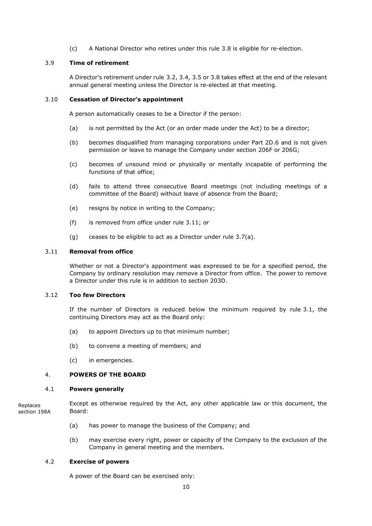(c) A National Director who retires under this rule [3.8](#page-12-0) is eligible for re-election.

# <span id="page-13-0"></span>3.9 **Time of retirement**

A Director's retirement under rule [3.2,](#page-10-2) [3.4,](#page-11-0) [3.5](#page-11-1) or [3.8](#page-12-0) takes effect at the end of the relevant annual general meeting unless the Director is re-elected at that meeting.

# <span id="page-13-1"></span>3.10 **Cessation of Director's appointment**

A person automatically ceases to be a Director if the person:

- (a) is not permitted by the Act (or an order made under the Act) to be a director;
- (b) becomes disqualified from managing corporations under Part 2D.6 and is not given permission or leave to manage the Company under section 206F or 206G;
- (c) becomes of unsound mind or physically or mentally incapable of performing the functions of that office;
- (d) fails to attend three consecutive Board meetings (not including meetings of a committee of the Board) without leave of absence from the Board;
- (e) resigns by notice in writing to the Company;
- (f) is removed from office under rule [3.11;](#page-13-2) or
- (g) ceases to be eligible to act as a Director under rule [3.7\(a\).](#page-11-4)

# <span id="page-13-2"></span>3.11 **Removal from office**

Whether or not a Director's appointment was expressed to be for a specified period, the Company by ordinary resolution may remove a Director from office. The power to remove a Director under this rule is in addition to section 203D.

# <span id="page-13-3"></span>3.12 **Too few Directors**

If the number of Directors is reduced below the minimum required by rule [3.1,](#page-10-1) the continuing Directors may act as the Board only:

- (a) to appoint Directors up to that minimum number;
- (b) to convene a meeting of members; and
- (c) in emergencies.

# <span id="page-13-4"></span>4. **POWERS OF THE BOARD**

# <span id="page-13-5"></span>4.1 **Powers generally**

Except as otherwise required by the Act, any other applicable law or this document, the Board: Replaces section 198A

- (a) has power to manage the business of the Company; and
- (b) may exercise every right, power or capacity of the Company to the exclusion of the Company in general meeting and the members.

# <span id="page-13-6"></span>4.2 **Exercise of powers**

A power of the Board can be exercised only: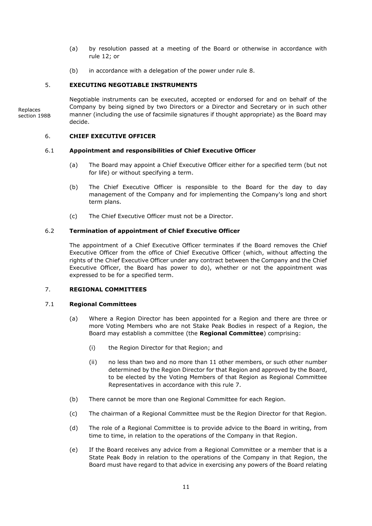- (a) by resolution passed at a meeting of the Board or otherwise in accordance with rule [12;](#page-21-2) or
- (b) in accordance with a delegation of the power under rule [8.](#page-18-0)

# <span id="page-14-0"></span>5. **EXECUTING NEGOTIABLE INSTRUMENTS**

Negotiable instruments can be executed, accepted or endorsed for and on behalf of the Company by being signed by two Directors or a Director and Secretary or in such other manner (including the use of facsimile signatures if thought appropriate) as the Board may decide. **Replaces** section 198B

# <span id="page-14-1"></span>6. **CHIEF EXECUTIVE OFFICER**

# <span id="page-14-2"></span>6.1 **Appointment and responsibilities of Chief Executive Officer**

- (a) The Board may appoint a Chief Executive Officer either for a specified term (but not for life) or without specifying a term.
- (b) The Chief Executive Officer is responsible to the Board for the day to day management of the Company and for implementing the Company's long and short term plans.
- (c) The Chief Executive Officer must not be a Director.

# <span id="page-14-3"></span>6.2 **Termination of appointment of Chief Executive Officer**

The appointment of a Chief Executive Officer terminates if the Board removes the Chief Executive Officer from the office of Chief Executive Officer (which, without affecting the rights of the Chief Executive Officer under any contract between the Company and the Chief Executive Officer, the Board has power to do), whether or not the appointment was expressed to be for a specified term.

# <span id="page-14-4"></span>7. **REGIONAL COMMITTEES**

# <span id="page-14-6"></span><span id="page-14-5"></span>7.1 **Regional Committees**

- (a) Where a Region Director has been appointed for a Region and there are three or more Voting Members who are not Stake Peak Bodies in respect of a Region, the Board may establish a committee (the **Regional Committee**) comprising:
	- (i) the Region Director for that Region; and
	- (ii) no less than two and no more than 11 other members, or such other number determined by the Region Director for that Region and approved by the Board, to be elected by the Voting Members of that Region as Regional Committee Representatives in accordance with this rule [7.](#page-14-4)
- <span id="page-14-7"></span>(b) There cannot be more than one Regional Committee for each Region.
- (c) The chairman of a Regional Committee must be the Region Director for that Region.
- (d) The role of a Regional Committee is to provide advice to the Board in writing, from time to time, in relation to the operations of the Company in that Region.
- (e) If the Board receives any advice from a Regional Committee or a member that is a State Peak Body in relation to the operations of the Company in that Region, the Board must have regard to that advice in exercising any powers of the Board relating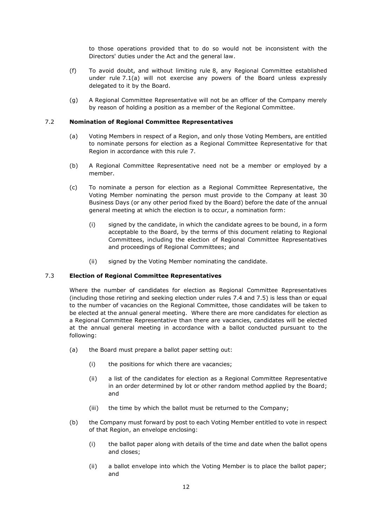to those operations provided that to do so would not be inconsistent with the Directors' duties under the Act and the general law.

- (f) To avoid doubt, and without limiting rule [8,](#page-18-0) any Regional Committee established under rule [7.1\(a\)](#page-14-6) will not exercise any powers of the Board unless expressly delegated to it by the Board.
- (g) A Regional Committee Representative will not be an officer of the Company merely by reason of holding a position as a member of the Regional Committee.

# <span id="page-15-0"></span>7.2 **Nomination of Regional Committee Representatives**

- (a) Voting Members in respect of a Region, and only those Voting Members, are entitled to nominate persons for election as a Regional Committee Representative for that Region in accordance with this rule [7.](#page-14-4)
- (b) A Regional Committee Representative need not be a member or employed by a member.
- (c) To nominate a person for election as a Regional Committee Representative, the Voting Member nominating the person must provide to the Company at least 30 Business Days (or any other period fixed by the Board) before the date of the annual general meeting at which the election is to occur, a nomination form:
	- (i) signed by the candidate, in which the candidate agrees to be bound, in a form acceptable to the Board, by the terms of this document relating to Regional Committees, including the election of Regional Committee Representatives and proceedings of Regional Committees; and
	- (ii) signed by the Voting Member nominating the candidate.

# <span id="page-15-1"></span>7.3 **Election of Regional Committee Representatives**

Where the number of candidates for election as Regional Committee Representatives (including those retiring and seeking election under rules [7.4](#page-16-0) and [7.5\)](#page-17-0) is less than or equal to the number of vacancies on the Regional Committee, those candidates will be taken to be elected at the annual general meeting. Where there are more candidates for election as a Regional Committee Representative than there are vacancies, candidates will be elected at the annual general meeting in accordance with a ballot conducted pursuant to the following:

- (a) the Board must prepare a ballot paper setting out:
	- (i) the positions for which there are vacancies;
	- (ii) a list of the candidates for election as a Regional Committee Representative in an order determined by lot or other random method applied by the Board; and
	- (iii) the time by which the ballot must be returned to the Company;
- (b) the Company must forward by post to each Voting Member entitled to vote in respect of that Region, an envelope enclosing:
	- (i) the ballot paper along with details of the time and date when the ballot opens and closes;
	- (ii) a ballot envelope into which the Voting Member is to place the ballot paper; and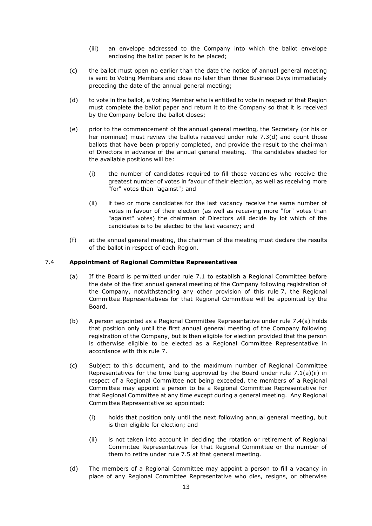- (iii) an envelope addressed to the Company into which the ballot envelope enclosing the ballot paper is to be placed;
- (c) the ballot must open no earlier than the date the notice of annual general meeting is sent to Voting Members and close no later than three Business Days immediately preceding the date of the annual general meeting;
- <span id="page-16-1"></span>(d) to vote in the ballot, a Voting Member who is entitled to vote in respect of that Region must complete the ballot paper and return it to the Company so that it is received by the Company before the ballot closes;
- (e) prior to the commencement of the annual general meeting, the Secretary (or his or her nominee) must review the ballots received under rule [7.3\(d\)](#page-16-1) and count those ballots that have been properly completed, and provide the result to the chairman of Directors in advance of the annual general meeting. The candidates elected for the available positions will be:
	- (i) the number of candidates required to fill those vacancies who receive the greatest number of votes in favour of their election, as well as receiving more "for" votes than "against"; and
	- (ii) if two or more candidates for the last vacancy receive the same number of votes in favour of their election (as well as receiving more "for" votes than "against" votes) the chairman of Directors will decide by lot which of the candidates is to be elected to the last vacancy; and
- (f) at the annual general meeting, the chairman of the meeting must declare the results of the ballot in respect of each Region.

# <span id="page-16-2"></span><span id="page-16-0"></span>7.4 **Appointment of Regional Committee Representatives**

- (a) If the Board is permitted under rule [7.1](#page-14-5) to establish a Regional Committee before the date of the first annual general meeting of the Company following registration of the Company, notwithstanding any other provision of this rule [7,](#page-14-4) the Regional Committee Representatives for that Regional Committee will be appointed by the Board.
- (b) A person appointed as a Regional Committee Representative under rule [7.4\(a\)](#page-16-2) holds that position only until the first annual general meeting of the Company following registration of the Company, but is then eligible for election provided that the person is otherwise eligible to be elected as a Regional Committee Representative in accordance with this rule [7.](#page-14-4)
- (c) Subject to this document, and to the maximum number of Regional Committee Representatives for the time being approved by the Board under rule  $7.1(a)(ii)$  in respect of a Regional Committee not being exceeded, the members of a Regional Committee may appoint a person to be a Regional Committee Representative for that Regional Committee at any time except during a general meeting. Any Regional Committee Representative so appointed:
	- (i) holds that position only until the next following annual general meeting, but is then eligible for election; and
	- (ii) is not taken into account in deciding the rotation or retirement of Regional Committee Representatives for that Regional Committee or the number of them to retire under rule [7.5](#page-17-0) at that general meeting.
- (d) The members of a Regional Committee may appoint a person to fill a vacancy in place of any Regional Committee Representative who dies, resigns, or otherwise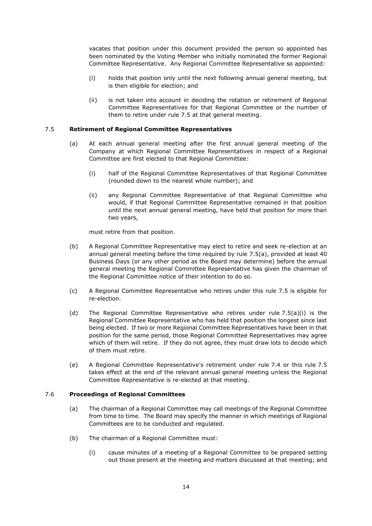vacates that position under this document provided the person so appointed has been nominated by the Voting Member who initially nominated the former Regional Committee Representative. Any Regional Committee Representative so appointed:

- (i) holds that position only until the next following annual general meeting, but is then eligible for election; and
- (ii) is not taken into account in deciding the rotation or retirement of Regional Committee Representatives for that Regional Committee or the number of them to retire under rule [7.5](#page-17-0) at that general meeting.

# <span id="page-17-2"></span><span id="page-17-0"></span>7.5 **Retirement of Regional Committee Representatives**

- <span id="page-17-3"></span>(a) At each annual general meeting after the first annual general meeting of the Company at which Regional Committee Representatives in respect of a Regional Committee are first elected to that Regional Committee:
	- (i) half of the Regional Committee Representatives of that Regional Committee (rounded down to the nearest whole number); and
	- (ii) any Regional Committee Representative of that Regional Committee who would, if that Regional Committee Representative remained in that position until the next annual general meeting, have held that position for more than two years,

must retire from that position.

- (b) A Regional Committee Representative may elect to retire and seek re-election at an annual general meeting before the time required by rule [7.5\(a\),](#page-17-2) provided at least 40 Business Days (or any other period as the Board may determine) before the annual general meeting the Regional Committee Representative has given the chairman of the Regional Committee notice of their intention to do so.
- (c) A Regional Committee Representative who retires under this rule [7.5](#page-17-0) is eligible for re-election.
- (d) The Regional Committee Representative who retires under rule [7.5\(a\)\(i\)](#page-17-3) is the Regional Committee Representative who has held that position the longest since last being elected. If two or more Regional Committee Representatives have been in that position for the same period, those Regional Committee Representatives may agree which of them will retire. If they do not agree, they must draw lots to decide which of them must retire.
- (e) A Regional Committee Representative's retirement under rule [7.4](#page-16-0) or this rule [7.5](#page-17-0) takes effect at the end of the relevant annual general meeting unless the Regional Committee Representative is re-elected at that meeting.

# <span id="page-17-1"></span>7.6 **Proceedings of Regional Committees**

- (a) The chairman of a Regional Committee may call meetings of the Regional Committee from time to time. The Board may specify the manner in which meetings of Regional Committees are to be conducted and regulated.
- <span id="page-17-4"></span>(b) The chairman of a Regional Committee must:
	- (i) cause minutes of a meeting of a Regional Committee to be prepared setting out those present at the meeting and matters discussed at that meeting; and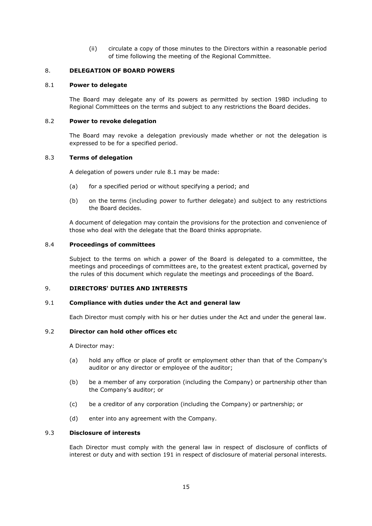(ii) circulate a copy of those minutes to the Directors within a reasonable period of time following the meeting of the Regional Committee.

# <span id="page-18-0"></span>8. **DELEGATION OF BOARD POWERS**

## <span id="page-18-1"></span>8.1 **Power to delegate**

The Board may delegate any of its powers as permitted by section 198D including to Regional Committees on the terms and subject to any restrictions the Board decides.

#### <span id="page-18-2"></span>8.2 **Power to revoke delegation**

The Board may revoke a delegation previously made whether or not the delegation is expressed to be for a specified period.

### <span id="page-18-3"></span>8.3 **Terms of delegation**

A delegation of powers under rule [8.1](#page-18-1) may be made:

- (a) for a specified period or without specifying a period; and
- (b) on the terms (including power to further delegate) and subject to any restrictions the Board decides.

A document of delegation may contain the provisions for the protection and convenience of those who deal with the delegate that the Board thinks appropriate.

## <span id="page-18-4"></span>8.4 **Proceedings of committees**

Subject to the terms on which a power of the Board is delegated to a committee, the meetings and proceedings of committees are, to the greatest extent practical, governed by the rules of this document which regulate the meetings and proceedings of the Board.

#### <span id="page-18-5"></span>9. **DIRECTORS' DUTIES AND INTERESTS**

#### <span id="page-18-6"></span>9.1 **Compliance with duties under the Act and general law**

Each Director must comply with his or her duties under the Act and under the general law.

## <span id="page-18-7"></span>9.2 **Director can hold other offices etc**

A Director may:

- (a) hold any office or place of profit or employment other than that of the Company's auditor or any director or employee of the auditor;
- (b) be a member of any corporation (including the Company) or partnership other than the Company's auditor; or
- (c) be a creditor of any corporation (including the Company) or partnership; or
- (d) enter into any agreement with the Company.

# <span id="page-18-8"></span>9.3 **Disclosure of interests**

Each Director must comply with the general law in respect of disclosure of conflicts of interest or duty and with section 191 in respect of disclosure of material personal interests.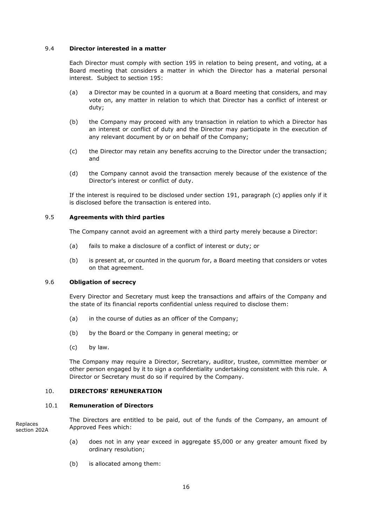# <span id="page-19-0"></span>9.4 **Director interested in a matter**

Each Director must comply with section 195 in relation to being present, and voting, at a Board meeting that considers a matter in which the Director has a material personal interest. Subject to section 195:

- (a) a Director may be counted in a quorum at a Board meeting that considers, and may vote on, any matter in relation to which that Director has a conflict of interest or duty;
- (b) the Company may proceed with any transaction in relation to which a Director has an interest or conflict of duty and the Director may participate in the execution of any relevant document by or on behalf of the Company;
- (c) the Director may retain any benefits accruing to the Director under the transaction; and
- (d) the Company cannot avoid the transaction merely because of the existence of the Director's interest or conflict of duty.

If the interest is required to be disclosed under section 191, paragraph (c) applies only if it is disclosed before the transaction is entered into.

### <span id="page-19-1"></span>9.5 **Agreements with third parties**

The Company cannot avoid an agreement with a third party merely because a Director:

- (a) fails to make a disclosure of a conflict of interest or duty; or
- (b) is present at, or counted in the quorum for, a Board meeting that considers or votes on that agreement.

# <span id="page-19-2"></span>9.6 **Obligation of secrecy**

Every Director and Secretary must keep the transactions and affairs of the Company and the state of its financial reports confidential unless required to disclose them:

- (a) in the course of duties as an officer of the Company;
- (b) by the Board or the Company in general meeting; or
- (c) by law.

The Company may require a Director, Secretary, auditor, trustee, committee member or other person engaged by it to sign a confidentiality undertaking consistent with this rule. A Director or Secretary must do so if required by the Company.

#### <span id="page-19-3"></span>10. **DIRECTORS' REMUNERATION**

#### <span id="page-19-4"></span>10.1 **Remuneration of Directors**

The Directors are entitled to be paid, out of the funds of the Company, an amount of Approved Fees which: Replaces section 202A

- (a) does not in any year exceed in aggregate \$5,000 or any greater amount fixed by ordinary resolution;
- (b) is allocated among them: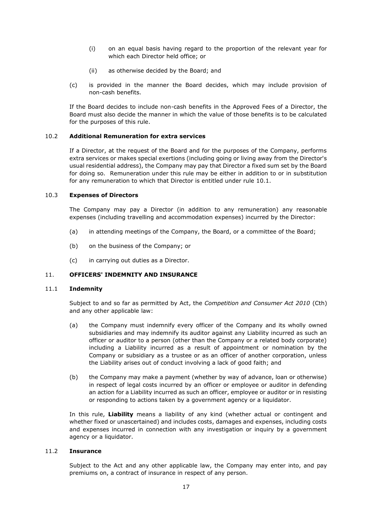- (i) on an equal basis having regard to the proportion of the relevant year for which each Director held office; or
- (ii) as otherwise decided by the Board; and
- (c) is provided in the manner the Board decides, which may include provision of non-cash benefits.

If the Board decides to include non-cash benefits in the Approved Fees of a Director, the Board must also decide the manner in which the value of those benefits is to be calculated for the purposes of this rule.

# <span id="page-20-0"></span>10.2 **Additional Remuneration for extra services**

If a Director, at the request of the Board and for the purposes of the Company, performs extra services or makes special exertions (including going or living away from the Director's usual residential address), the Company may pay that Director a fixed sum set by the Board for doing so. Remuneration under this rule may be either in addition to or in substitution for any remuneration to which that Director is entitled under rule [10.1.](#page-19-4)

# <span id="page-20-1"></span>10.3 **Expenses of Directors**

The Company may pay a Director (in addition to any remuneration) any reasonable expenses (including travelling and accommodation expenses) incurred by the Director:

- (a) in attending meetings of the Company, the Board, or a committee of the Board;
- (b) on the business of the Company; or
- (c) in carrying out duties as a Director.

# <span id="page-20-2"></span>11. **OFFICERS' INDEMNITY AND INSURANCE**

# <span id="page-20-3"></span>11.1 **Indemnity**

Subject to and so far as permitted by Act, the *Competition and Consumer Act 2010* (Cth) and any other applicable law:

- (a) the Company must indemnify every officer of the Company and its wholly owned subsidiaries and may indemnify its auditor against any Liability incurred as such an officer or auditor to a person (other than the Company or a related body corporate) including a Liability incurred as a result of appointment or nomination by the Company or subsidiary as a trustee or as an officer of another corporation, unless the Liability arises out of conduct involving a lack of good faith; and
- (b) the Company may make a payment (whether by way of advance, loan or otherwise) in respect of legal costs incurred by an officer or employee or auditor in defending an action for a Liability incurred as such an officer, employee or auditor or in resisting or responding to actions taken by a government agency or a liquidator.

In this rule, **Liability** means a liability of any kind (whether actual or contingent and whether fixed or unascertained) and includes costs, damages and expenses, including costs and expenses incurred in connection with any investigation or inquiry by a government agency or a liquidator.

# <span id="page-20-4"></span>11.2 **Insurance**

Subject to the Act and any other applicable law, the Company may enter into, and pay premiums on, a contract of insurance in respect of any person.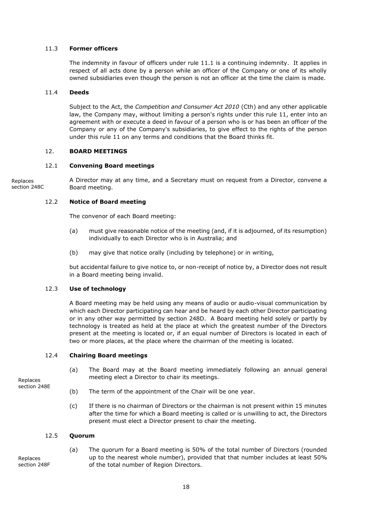# <span id="page-21-0"></span>11.3 **Former officers**

The indemnity in favour of officers under rule [11.1](#page-20-3) is a continuing indemnity. It applies in respect of all acts done by a person while an officer of the Company or one of its wholly owned subsidiaries even though the person is not an officer at the time the claim is made.

## <span id="page-21-1"></span>11.4 **Deeds**

Subject to the Act, the *Competition and Consumer Act 2010* (Cth) and any other applicable law, the Company may, without limiting a person's rights under this rule [11,](#page-20-2) enter into an agreement with or execute a deed in favour of a person who is or has been an officer of the Company or any of the Company's subsidiaries, to give effect to the rights of the person under this rule [11](#page-20-2) on any terms and conditions that the Board thinks fit.

### <span id="page-21-2"></span>12. **BOARD MEETINGS**

### <span id="page-21-3"></span>12.1 **Convening Board meetings**

A Director may at any time, and a Secretary must on request from a Director, convene a Board meeting. Replaces section 248C

## <span id="page-21-4"></span>12.2 **Notice of Board meeting**

The convenor of each Board meeting:

- (a) must give reasonable notice of the meeting (and, if it is adjourned, of its resumption) individually to each Director who is in Australia; and
- (b) may give that notice orally (including by telephone) or in writing,

but accidental failure to give notice to, or non-receipt of notice by, a Director does not result in a Board meeting being invalid.

# <span id="page-21-5"></span>12.3 **Use of technology**

A Board meeting may be held using any means of audio or audio-visual communication by which each Director participating can hear and be heard by each other Director participating or in any other way permitted by section 248D. A Board meeting held solely or partly by technology is treated as held at the place at which the greatest number of the Directors present at the meeting is located or, if an equal number of Directors is located in each of two or more places, at the place where the chairman of the meeting is located.

#### <span id="page-21-6"></span>12.4 **Chairing Board meetings**

(a) The Board may at the Board meeting immediately following an annual general meeting elect a Director to chair its meetings.

Replaces section 248E

- (b) The term of the appointment of the Chair will be one year.
- (c) If there is no chairman of Directors or the chairman is not present within 15 minutes after the time for which a Board meeting is called or is unwilling to act, the Directors present must elect a Director present to chair the meeting.

# <span id="page-21-7"></span>12.5 **Quorum**

Replaces section 248F (a) The quorum for a Board meeting is 50% of the total number of Directors (rounded up to the nearest whole number), provided that that number includes at least 50% of the total number of Region Directors.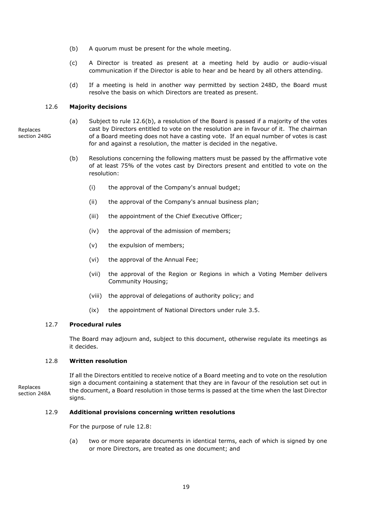- (b) A quorum must be present for the whole meeting.
- (c) A Director is treated as present at a meeting held by audio or audio-visual communication if the Director is able to hear and be heard by all others attending.
- (d) If a meeting is held in another way permitted by section 248D, the Board must resolve the basis on which Directors are treated as present.

## <span id="page-22-0"></span>12.6 **Majority decisions**

Replaces section 248G

Replaces

- (a) Subject to rule [12.6\(b\),](#page-22-4) a resolution of the Board is passed if a majority of the votes cast by Directors entitled to vote on the resolution are in favour of it. The chairman of a Board meeting does not have a casting vote. If an equal number of votes is cast for and against a resolution, the matter is decided in the negative.
- <span id="page-22-4"></span>(b) Resolutions concerning the following matters must be passed by the affirmative vote of at least 75% of the votes cast by Directors present and entitled to vote on the resolution:
	- (i) the approval of the Company's annual budget;
	- (ii) the approval of the Company's annual business plan;
	- (iii) the appointment of the Chief Executive Officer;
	- (iv) the approval of the admission of members;
	- (v) the expulsion of members;
	- (vi) the approval of the Annual Fee;
	- (vii) the approval of the Region or Regions in which a Voting Member delivers Community Housing;
	- (viii) the approval of delegations of authority policy; and
	- (ix) the appointment of National Directors under rule [3.5.](#page-11-1)

# <span id="page-22-1"></span>12.7 **Procedural rules**

The Board may adjourn and, subject to this document, otherwise regulate its meetings as it decides.

# <span id="page-22-2"></span>12.8 **Written resolution**

If all the Directors entitled to receive notice of a Board meeting and to vote on the resolution sign a document containing a statement that they are in favour of the resolution set out in the document, a Board resolution in those terms is passed at the time when the last Director signs. section 248A

# <span id="page-22-3"></span>12.9 **Additional provisions concerning written resolutions**

For the purpose of rule [12.8:](#page-22-2)

(a) two or more separate documents in identical terms, each of which is signed by one or more Directors, are treated as one document; and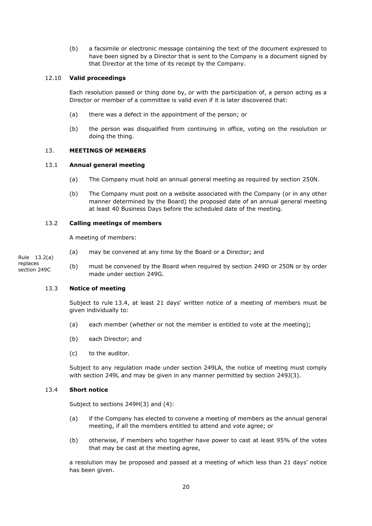(b) a facsimile or electronic message containing the text of the document expressed to have been signed by a Director that is sent to the Company is a document signed by that Director at the time of its receipt by the Company.

# <span id="page-23-0"></span>12.10 **Valid proceedings**

Each resolution passed or thing done by, or with the participation of, a person acting as a Director or member of a committee is valid even if it is later discovered that:

- (a) there was a defect in the appointment of the person; or
- (b) the person was disqualified from continuing in office, voting on the resolution or doing the thing.

# <span id="page-23-1"></span>13. **MEETINGS OF MEMBERS**

# <span id="page-23-2"></span>13.1 **Annual general meeting**

- (a) The Company must hold an annual general meeting as required by section 250N.
- (b) The Company must post on a website associated with the Company (or in any other manner determined by the Board) the proposed date of an annual general meeting at least 40 Business Days before the scheduled date of the meeting.

# <span id="page-23-3"></span>13.2 **Calling meetings of members**

A meeting of members:

(a) may be convened at any time by the Board or a Director; and

Rule 13.2(a) replaces section 249C

(b) must be convened by the Board when required by section 249D or 250N or by order made under section 249G.

# <span id="page-23-4"></span>13.3 **Notice of meeting**

Subject to rule [13.4,](#page-23-5) at least 21 days' written notice of a meeting of members must be given individually to:

- (a) each member (whether or not the member is entitled to vote at the meeting);
- (b) each Director; and
- (c) to the auditor.

Subject to any regulation made under section 249LA, the notice of meeting must comply with section 249L and may be given in any manner permitted by section 249J(3).

# <span id="page-23-5"></span>13.4 **Short notice**

Subject to sections 249H(3) and (4):

- (a) if the Company has elected to convene a meeting of members as the annual general meeting, if all the members entitled to attend and vote agree; or
- (b) otherwise, if members who together have power to cast at least 95% of the votes that may be cast at the meeting agree,

a resolution may be proposed and passed at a meeting of which less than 21 days' notice has been given.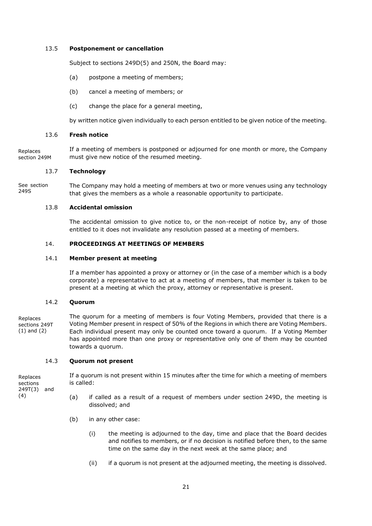# <span id="page-24-0"></span>13.5 **Postponement or cancellation**

Subject to sections 249D(5) and 250N, the Board may:

- (a) postpone a meeting of members;
- (b) cancel a meeting of members; or
- (c) change the place for a general meeting,

by written notice given individually to each person entitled to be given notice of the meeting.

#### <span id="page-24-1"></span>13.6 **Fresh notice**

If a meeting of members is postponed or adjourned for one month or more, the Company must give new notice of the resumed meeting. Replaces section 249M

#### <span id="page-24-2"></span>13.7 **Technology**

See section 249S

The Company may hold a meeting of members at two or more venues using any technology that gives the members as a whole a reasonable opportunity to participate.

#### <span id="page-24-3"></span>13.8 **Accidental omission**

The accidental omission to give notice to, or the non-receipt of notice by, any of those entitled to it does not invalidate any resolution passed at a meeting of members.

# <span id="page-24-4"></span>14. **PROCEEDINGS AT MEETINGS OF MEMBERS**

## <span id="page-24-5"></span>14.1 **Member present at meeting**

If a member has appointed a proxy or attorney or (in the case of a member which is a body corporate) a representative to act at a meeting of members, that member is taken to be present at a meeting at which the proxy, attorney or representative is present.

# <span id="page-24-6"></span>14.2 **Quorum**

The quorum for a meeting of members is four Voting Members, provided that there is a Voting Member present in respect of 50% of the Regions in which there are Voting Members. Each individual present may only be counted once toward a quorum. If a Voting Member has appointed more than one proxy or representative only one of them may be counted towards a quorum. Replaces sections 249T (1) and (2)

## <span id="page-24-7"></span>14.3 **Quorum not present**

If a quorum is not present within 15 minutes after the time for which a meeting of members is called:

- (a) if called as a result of a request of members under section 249D, the meeting is dissolved; and
- (b) in any other case:
	- (i) the meeting is adjourned to the day, time and place that the Board decides and notifies to members, or if no decision is notified before then, to the same time on the same day in the next week at the same place; and
	- (ii) if a quorum is not present at the adjourned meeting, the meeting is dissolved.

Replaces

sections 249T(3) and

(4)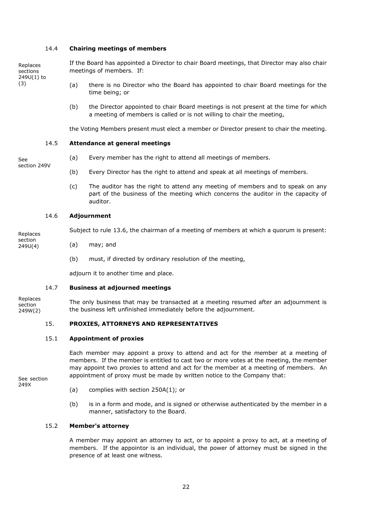#### <span id="page-25-0"></span>14.4 **Chairing meetings of members**

Replaces sections 249U(1) to (3)

If the Board has appointed a Director to chair Board meetings, that Director may also chair meetings of members. If:

- (a) there is no Director who the Board has appointed to chair Board meetings for the time being; or
- (b) the Director appointed to chair Board meetings is not present at the time for which a meeting of members is called or is not willing to chair the meeting,

the Voting Members present must elect a member or Director present to chair the meeting.

# <span id="page-25-1"></span>14.5 **Attendance at general meetings**

(a) Every member has the right to attend all meetings of members.

See section 249V

- (b) Every Director has the right to attend and speak at all meetings of members.
- (c) The auditor has the right to attend any meeting of members and to speak on any part of the business of the meeting which concerns the auditor in the capacity of auditor.

## <span id="page-25-2"></span>14.6 **Adjournment**

Replaces section 249U(4)

Subject to rule [13.6,](#page-24-1) the chairman of a meeting of members at which a quorum is present:

- (a) may; and
	- (b) must, if directed by ordinary resolution of the meeting,

adjourn it to another time and place.

### <span id="page-25-3"></span>14.7 **Business at adjourned meetings**

The only business that may be transacted at a meeting resumed after an adjournment is the business left unfinished immediately before the adjournment. Replaces section 249W(2)

# <span id="page-25-4"></span>15. **PROXIES, ATTORNEYS AND REPRESENTATIVES**

## <span id="page-25-5"></span>15.1 **Appointment of proxies**

Each member may appoint a proxy to attend and act for the member at a meeting of members. If the member is entitled to cast two or more votes at the meeting, the member may appoint two proxies to attend and act for the member at a meeting of members. An appointment of proxy must be made by written notice to the Company that:

See section 249X

- (a) complies with section 250A(1); or
- (b) is in a form and mode, and is signed or otherwise authenticated by the member in a manner, satisfactory to the Board.

# <span id="page-25-6"></span>15.2 **Member's attorney**

A member may appoint an attorney to act, or to appoint a proxy to act, at a meeting of members. If the appointor is an individual, the power of attorney must be signed in the presence of at least one witness.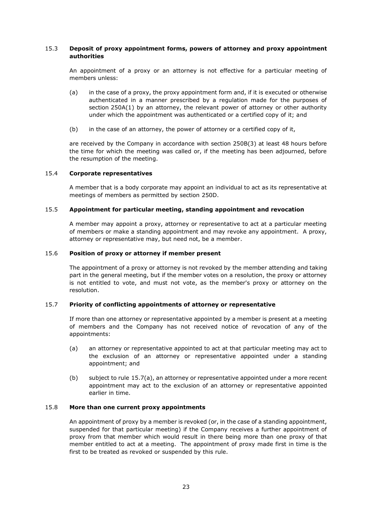# <span id="page-26-0"></span>15.3 **Deposit of proxy appointment forms, powers of attorney and proxy appointment authorities**

An appointment of a proxy or an attorney is not effective for a particular meeting of members unless:

- (a) in the case of a proxy, the proxy appointment form and, if it is executed or otherwise authenticated in a manner prescribed by a regulation made for the purposes of section 250A(1) by an attorney, the relevant power of attorney or other authority under which the appointment was authenticated or a certified copy of it; and
- (b) in the case of an attorney, the power of attorney or a certified copy of it,

are received by the Company in accordance with section 250B(3) at least 48 hours before the time for which the meeting was called or, if the meeting has been adjourned, before the resumption of the meeting.

# <span id="page-26-1"></span>15.4 **Corporate representatives**

A member that is a body corporate may appoint an individual to act as its representative at meetings of members as permitted by section 250D.

# <span id="page-26-2"></span>15.5 **Appointment for particular meeting, standing appointment and revocation**

A member may appoint a proxy, attorney or representative to act at a particular meeting of members or make a standing appointment and may revoke any appointment. A proxy, attorney or representative may, but need not, be a member.

# <span id="page-26-3"></span>15.6 **Position of proxy or attorney if member present**

The appointment of a proxy or attorney is not revoked by the member attending and taking part in the general meeting, but if the member votes on a resolution, the proxy or attorney is not entitled to vote, and must not vote, as the member's proxy or attorney on the resolution.

# <span id="page-26-4"></span>15.7 **Priority of conflicting appointments of attorney or representative**

If more than one attorney or representative appointed by a member is present at a meeting of members and the Company has not received notice of revocation of any of the appointments:

- <span id="page-26-6"></span>(a) an attorney or representative appointed to act at that particular meeting may act to the exclusion of an attorney or representative appointed under a standing appointment; and
- (b) subject to rule [15.7\(a\),](#page-26-6) an attorney or representative appointed under a more recent appointment may act to the exclusion of an attorney or representative appointed earlier in time.

# <span id="page-26-5"></span>15.8 **More than one current proxy appointments**

An appointment of proxy by a member is revoked (or, in the case of a standing appointment, suspended for that particular meeting) if the Company receives a further appointment of proxy from that member which would result in there being more than one proxy of that member entitled to act at a meeting. The appointment of proxy made first in time is the first to be treated as revoked or suspended by this rule.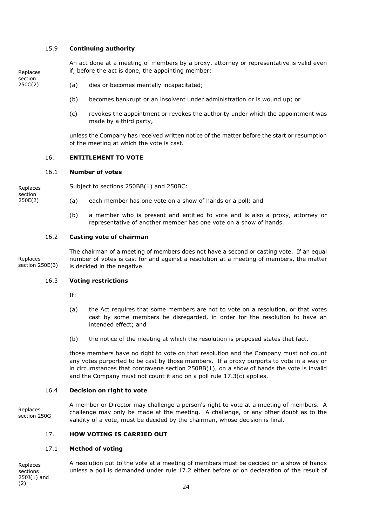## <span id="page-27-0"></span>15.9 **Continuing authority**

Replaces section 250C(2)

An act done at a meeting of members by a proxy, attorney or representative is valid even if, before the act is done, the appointing member:

- (a) dies or becomes mentally incapacitated;
- (b) becomes bankrupt or an insolvent under administration or is wound up; or
- (c) revokes the appointment or revokes the authority under which the appointment was made by a third party,

unless the Company has received written notice of the matter before the start or resumption of the meeting at which the vote is cast.

### <span id="page-27-1"></span>16. **ENTITLEMENT TO VOTE**

#### <span id="page-27-2"></span>16.1 **Number of votes**

Replaces section 250E(2)

Subject to sections 250BB(1) and 250BC:

- (a) each member has one vote on a show of hands or a poll; and
- (b) a member who is present and entitled to vote and is also a proxy, attorney or representative of another member has one vote on a show of hands.

# <span id="page-27-3"></span>16.2 **Casting vote of chairman**

The chairman of a meeting of members does not have a second or casting vote. If an equal number of votes is cast for and against a resolution at a meeting of members, the matter is decided in the negative. Replaces section 250E(3)

#### <span id="page-27-4"></span>16.3 **Voting restrictions**

If:

- (a) the Act requires that some members are not to vote on a resolution, or that votes cast by some members be disregarded, in order for the resolution to have an intended effect; and
- (b) the notice of the meeting at which the resolution is proposed states that fact,

those members have no right to vote on that resolution and the Company must not count any votes purported to be cast by those members. If a proxy purports to vote in a way or in circumstances that contravene section  $250BB(1)$ , on a show of hands the vote is invalid and the Company must not count it and on a poll rule [17.3\(c\)](#page-28-6) applies.

#### <span id="page-27-5"></span>16.4 **Decision on right to vote**

A member or Director may challenge a person's right to vote at a meeting of members. A challenge may only be made at the meeting. A challenge, or any other doubt as to the validity of a vote, must be decided by the chairman, whose decision is final. Replaces section 250G

# <span id="page-27-6"></span>17. **HOW VOTING IS CARRIED OUT**

#### <span id="page-27-7"></span>17.1 **Method of voting**

Replaces sections 250J(1) and (2)

A resolution put to the vote at a meeting of members must be decided on a show of hands unless a poll is demanded under rule [17.2](#page-28-0) either before or on declaration of the result of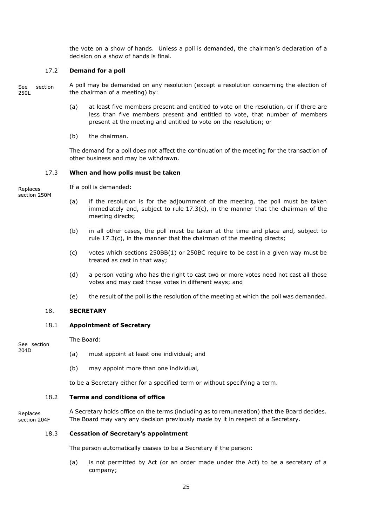the vote on a show of hands. Unless a poll is demanded, the chairman's declaration of a decision on a show of hands is final.

# <span id="page-28-0"></span>17.2 **Demand for a poll**

250L

A poll may be demanded on any resolution (except a resolution concerning the election of the chairman of a meeting) by: See section

- (a) at least five members present and entitled to vote on the resolution, or if there are less than five members present and entitled to vote, that number of members present at the meeting and entitled to vote on the resolution; or
- (b) the chairman.

The demand for a poll does not affect the continuation of the meeting for the transaction of other business and may be withdrawn.

# <span id="page-28-1"></span>17.3 **When and how polls must be taken**

Replaces section 250M

If a poll is demanded:

- (a) if the resolution is for the adjournment of the meeting, the poll must be taken immediately and, subject to rule  $17.3(c)$ , in the manner that the chairman of the meeting directs;
- (b) in all other cases, the poll must be taken at the time and place and, subject to rule [17.3\(c\),](#page-28-6) in the manner that the chairman of the meeting directs;
- <span id="page-28-6"></span>(c) votes which sections 250BB(1) or 250BC require to be cast in a given way must be treated as cast in that way;
- (d) a person voting who has the right to cast two or more votes need not cast all those votes and may cast those votes in different ways; and
- (e) the result of the poll is the resolution of the meeting at which the poll was demanded.

# <span id="page-28-2"></span>18. **SECRETARY**

# <span id="page-28-3"></span>18.1 **Appointment of Secretary**

The Board:

See section 204D

- (a) must appoint at least one individual; and
- (b) may appoint more than one individual,

to be a Secretary either for a specified term or without specifying a term.

# <span id="page-28-4"></span>18.2 **Terms and conditions of office**

A Secretary holds office on the terms (including as to remuneration) that the Board decides. The Board may vary any decision previously made by it in respect of a Secretary. Replaces section 204F

# <span id="page-28-5"></span>18.3 **Cessation of Secretary's appointment**

The person automatically ceases to be a Secretary if the person:

(a) is not permitted by Act (or an order made under the Act) to be a secretary of a company;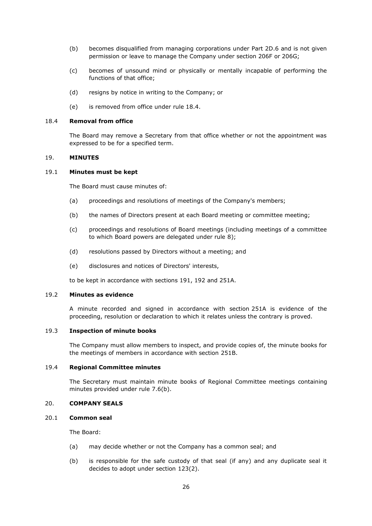- (b) becomes disqualified from managing corporations under Part 2D.6 and is not given permission or leave to manage the Company under section 206F or 206G;
- (c) becomes of unsound mind or physically or mentally incapable of performing the functions of that office;
- (d) resigns by notice in writing to the Company; or
- (e) is removed from office under rule [18.4.](#page-29-0)

#### <span id="page-29-0"></span>18.4 **Removal from office**

The Board may remove a Secretary from that office whether or not the appointment was expressed to be for a specified term.

#### <span id="page-29-1"></span>19. **MINUTES**

#### <span id="page-29-2"></span>19.1 **Minutes must be kept**

The Board must cause minutes of:

- (a) proceedings and resolutions of meetings of the Company's members;
- (b) the names of Directors present at each Board meeting or committee meeting;
- (c) proceedings and resolutions of Board meetings (including meetings of a committee to which Board powers are delegated under rule [8\)](#page-18-0);
- (d) resolutions passed by Directors without a meeting; and
- (e) disclosures and notices of Directors' interests,

to be kept in accordance with sections 191, 192 and 251A.

#### <span id="page-29-3"></span>19.2 **Minutes as evidence**

A minute recorded and signed in accordance with section 251A is evidence of the proceeding, resolution or declaration to which it relates unless the contrary is proved.

## <span id="page-29-4"></span>19.3 **Inspection of minute books**

The Company must allow members to inspect, and provide copies of, the minute books for the meetings of members in accordance with section 251B.

# <span id="page-29-5"></span>19.4 **Regional Committee minutes**

The Secretary must maintain minute books of Regional Committee meetings containing minutes provided under rule [7.6\(b\).](#page-17-4)

#### <span id="page-29-6"></span>20. **COMPANY SEALS**

# <span id="page-29-7"></span>20.1 **Common seal**

The Board:

- (a) may decide whether or not the Company has a common seal; and
- (b) is responsible for the safe custody of that seal (if any) and any duplicate seal it decides to adopt under section 123(2).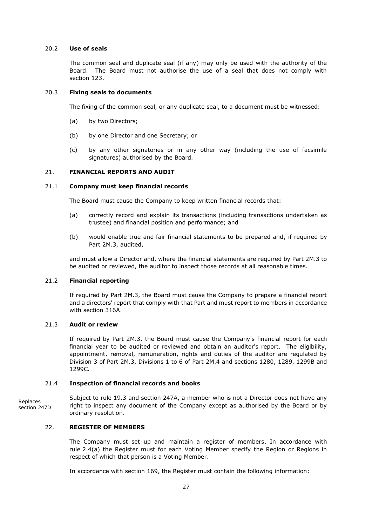# <span id="page-30-0"></span>20.2 **Use of seals**

The common seal and duplicate seal (if any) may only be used with the authority of the Board. The Board must not authorise the use of a seal that does not comply with section 123.

#### <span id="page-30-1"></span>20.3 **Fixing seals to documents**

The fixing of the common seal, or any duplicate seal, to a document must be witnessed:

- (a) by two Directors;
- (b) by one Director and one Secretary; or
- (c) by any other signatories or in any other way (including the use of facsimile signatures) authorised by the Board.

#### <span id="page-30-2"></span>21. **FINANCIAL REPORTS AND AUDIT**

#### <span id="page-30-3"></span>21.1 **Company must keep financial records**

The Board must cause the Company to keep written financial records that:

- (a) correctly record and explain its transactions (including transactions undertaken as trustee) and financial position and performance; and
- (b) would enable true and fair financial statements to be prepared and, if required by Part 2M.3, audited,

and must allow a Director and, where the financial statements are required by Part 2M.3 to be audited or reviewed, the auditor to inspect those records at all reasonable times.

## <span id="page-30-4"></span>21.2 **Financial reporting**

If required by Part 2M.3, the Board must cause the Company to prepare a financial report and a directors' report that comply with that Part and must report to members in accordance with section 316A.

#### <span id="page-30-5"></span>21.3 **Audit or review**

If required by Part 2M.3, the Board must cause the Company's financial report for each financial year to be audited or reviewed and obtain an auditor's report. The eligibility, appointment, removal, remuneration, rights and duties of the auditor are regulated by Division 3 of Part 2M.3, Divisions 1 to 6 of Part 2M.4 and sections 1280, 1289, 1299B and 1299C.

#### <span id="page-30-6"></span>21.4 **Inspection of financial records and books**

Subject to rule [19.3](#page-29-4) and section 247A, a member who is not a Director does not have any right to inspect any document of the Company except as authorised by the Board or by ordinary resolution. Replaces section 247D

# <span id="page-30-7"></span>22. **REGISTER OF MEMBERS**

The Company must set up and maintain a register of members. In accordance with rule [2.4\(a\)](#page-8-5) the Register must for each Voting Member specify the Region or Regions in respect of which that person is a Voting Member.

In accordance with section 169, the Register must contain the following information: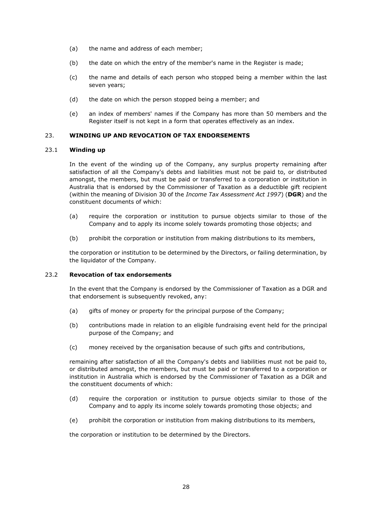- (a) the name and address of each member;
- (b) the date on which the entry of the member's name in the Register is made;
- (c) the name and details of each person who stopped being a member within the last seven years;
- (d) the date on which the person stopped being a member; and
- (e) an index of members' names if the Company has more than 50 members and the Register itself is not kept in a form that operates effectively as an index.

# <span id="page-31-0"></span>23. **WINDING UP AND REVOCATION OF TAX ENDORSEMENTS**

#### <span id="page-31-1"></span>23.1 **Winding up**

In the event of the winding up of the Company, any surplus property remaining after satisfaction of all the Company's debts and liabilities must not be paid to, or distributed amongst, the members, but must be paid or transferred to a corporation or institution in Australia that is endorsed by the Commissioner of Taxation as a deductible gift recipient (within the meaning of Division 30 of the *Income Tax Assessment Act 1997*) (**DGR**) and the constituent documents of which:

- (a) require the corporation or institution to pursue objects similar to those of the Company and to apply its income solely towards promoting those objects; and
- (b) prohibit the corporation or institution from making distributions to its members,

the corporation or institution to be determined by the Directors, or failing determination, by the liquidator of the Company.

## <span id="page-31-2"></span>23.2 **Revocation of tax endorsements**

In the event that the Company is endorsed by the Commissioner of Taxation as a DGR and that endorsement is subsequently revoked, any:

- (a) gifts of money or property for the principal purpose of the Company;
- (b) contributions made in relation to an eligible fundraising event held for the principal purpose of the Company; and
- (c) money received by the organisation because of such gifts and contributions,

remaining after satisfaction of all the Company's debts and liabilities must not be paid to, or distributed amongst, the members, but must be paid or transferred to a corporation or institution in Australia which is endorsed by the Commissioner of Taxation as a DGR and the constituent documents of which:

- (d) require the corporation or institution to pursue objects similar to those of the Company and to apply its income solely towards promoting those objects; and
- (e) prohibit the corporation or institution from making distributions to its members,

the corporation or institution to be determined by the Directors.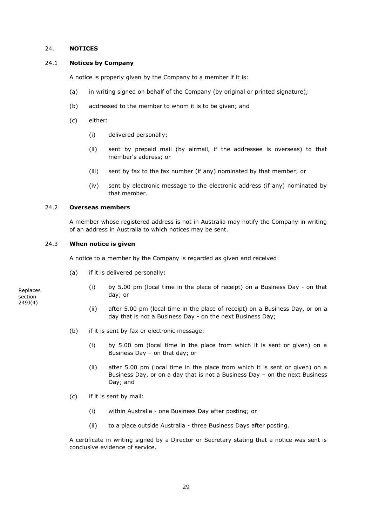# <span id="page-32-0"></span>24. **NOTICES**

#### <span id="page-32-1"></span>24.1 **Notices by Company**

A notice is properly given by the Company to a member if it is:

- (a) in writing signed on behalf of the Company (by original or printed signature);
- (b) addressed to the member to whom it is to be given; and
- (c) either:
	- (i) delivered personally;
	- (ii) sent by prepaid mail (by airmail, if the addressee is overseas) to that member's address; or
	- (iii) sent by fax to the fax number (if any) nominated by that member; or
	- (iv) sent by electronic message to the electronic address (if any) nominated by that member.

#### <span id="page-32-2"></span>24.2 **Overseas members**

A member whose registered address is not in Australia may notify the Company in writing of an address in Australia to which notices may be sent.

## <span id="page-32-3"></span>24.3 **When notice is given**

A notice to a member by the Company is regarded as given and received:

- (a) if it is delivered personally:
	- (i) by 5.00 pm (local time in the place of receipt) on a Business Day on that day; or
	- (ii) after 5.00 pm (local time in the place of receipt) on a Business Day, or on a day that is not a Business Day - on the next Business Day;
- (b) if it is sent by fax or electronic message:
	- (i) by 5.00 pm (local time in the place from which it is sent or given) on a Business Day – on that day; or
	- (ii) after 5.00 pm (local time in the place from which it is sent or given) on a Business Day, or on a day that is not a Business Day – on the next Business Day; and
- (c) if it is sent by mail:
	- (i) within Australia one Business Day after posting; or
	- (ii) to a place outside Australia three Business Days after posting.

A certificate in writing signed by a Director or Secretary stating that a notice was sent is conclusive evidence of service.

Replaces section 249J(4)